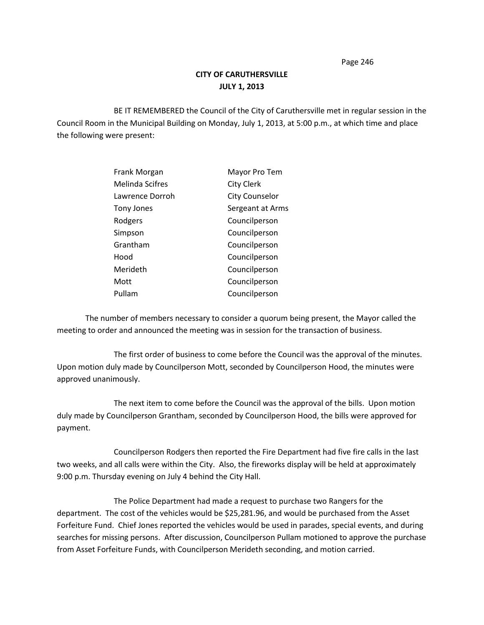# **CITY OF CARUTHERSVILLE JULY 1, 2013**

BE IT REMEMBERED the Council of the City of Caruthersville met in regular session in the Council Room in the Municipal Building on Monday, July 1, 2013, at 5:00 p.m., at which time and place the following were present:

| Frank Morgan    | Mayor Pro Tem         |
|-----------------|-----------------------|
| Melinda Scifres | <b>City Clerk</b>     |
| Lawrence Dorroh | <b>City Counselor</b> |
| Tony Jones      | Sergeant at Arms      |
| Rodgers         | Councilperson         |
| Simpson         | Councilperson         |
| Grantham        | Councilperson         |
| Hood            | Councilperson         |
| Merideth        | Councilperson         |
| Mott            | Councilperson         |
| Pullam          | Councilperson         |

The number of members necessary to consider a quorum being present, the Mayor called the meeting to order and announced the meeting was in session for the transaction of business.

The first order of business to come before the Council was the approval of the minutes. Upon motion duly made by Councilperson Mott, seconded by Councilperson Hood, the minutes were approved unanimously.

The next item to come before the Council was the approval of the bills. Upon motion duly made by Councilperson Grantham, seconded by Councilperson Hood, the bills were approved for payment.

Councilperson Rodgers then reported the Fire Department had five fire calls in the last two weeks, and all calls were within the City. Also, the fireworks display will be held at approximately 9:00 p.m. Thursday evening on July 4 behind the City Hall.

The Police Department had made a request to purchase two Rangers for the department. The cost of the vehicles would be \$25,281.96, and would be purchased from the Asset Forfeiture Fund. Chief Jones reported the vehicles would be used in parades, special events, and during searches for missing persons. After discussion, Councilperson Pullam motioned to approve the purchase from Asset Forfeiture Funds, with Councilperson Merideth seconding, and motion carried.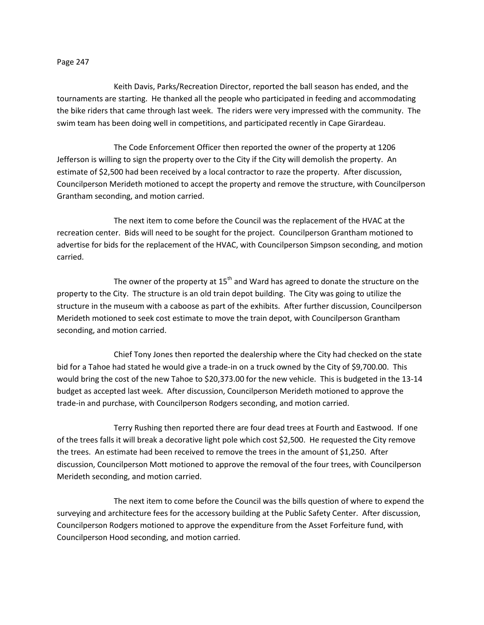Keith Davis, Parks/Recreation Director, reported the ball season has ended, and the tournaments are starting. He thanked all the people who participated in feeding and accommodating the bike riders that came through last week. The riders were very impressed with the community. The swim team has been doing well in competitions, and participated recently in Cape Girardeau.

The Code Enforcement Officer then reported the owner of the property at 1206 Jefferson is willing to sign the property over to the City if the City will demolish the property. An estimate of \$2,500 had been received by a local contractor to raze the property. After discussion, Councilperson Merideth motioned to accept the property and remove the structure, with Councilperson Grantham seconding, and motion carried.

The next item to come before the Council was the replacement of the HVAC at the recreation center. Bids will need to be sought for the project. Councilperson Grantham motioned to advertise for bids for the replacement of the HVAC, with Councilperson Simpson seconding, and motion carried.

The owner of the property at  $15<sup>th</sup>$  and Ward has agreed to donate the structure on the property to the City. The structure is an old train depot building. The City was going to utilize the structure in the museum with a caboose as part of the exhibits. After further discussion, Councilperson Merideth motioned to seek cost estimate to move the train depot, with Councilperson Grantham seconding, and motion carried.

Chief Tony Jones then reported the dealership where the City had checked on the state bid for a Tahoe had stated he would give a trade-in on a truck owned by the City of \$9,700.00. This would bring the cost of the new Tahoe to \$20,373.00 for the new vehicle. This is budgeted in the 13-14 budget as accepted last week. After discussion, Councilperson Merideth motioned to approve the trade-in and purchase, with Councilperson Rodgers seconding, and motion carried.

Terry Rushing then reported there are four dead trees at Fourth and Eastwood. If one of the trees falls it will break a decorative light pole which cost \$2,500. He requested the City remove the trees. An estimate had been received to remove the trees in the amount of \$1,250. After discussion, Councilperson Mott motioned to approve the removal of the four trees, with Councilperson Merideth seconding, and motion carried.

The next item to come before the Council was the bills question of where to expend the surveying and architecture fees for the accessory building at the Public Safety Center. After discussion, Councilperson Rodgers motioned to approve the expenditure from the Asset Forfeiture fund, with Councilperson Hood seconding, and motion carried.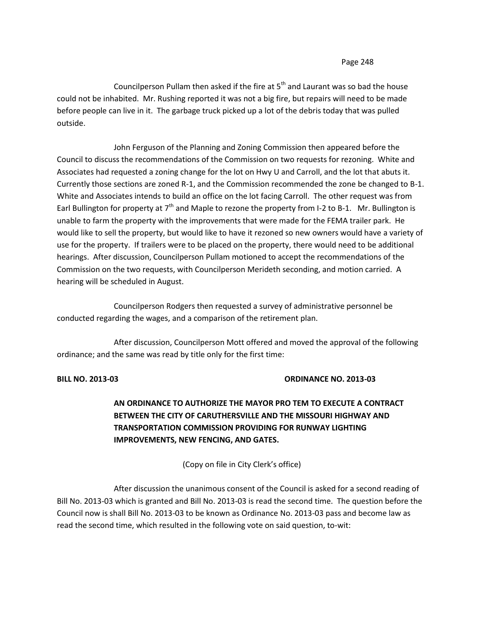Councilperson Pullam then asked if the fire at  $5<sup>th</sup>$  and Laurant was so bad the house could not be inhabited. Mr. Rushing reported it was not a big fire, but repairs will need to be made before people can live in it. The garbage truck picked up a lot of the debris today that was pulled outside.

John Ferguson of the Planning and Zoning Commission then appeared before the Council to discuss the recommendations of the Commission on two requests for rezoning. White and Associates had requested a zoning change for the lot on Hwy U and Carroll, and the lot that abuts it. Currently those sections are zoned R-1, and the Commission recommended the zone be changed to B-1. White and Associates intends to build an office on the lot facing Carroll. The other request was from Earl Bullington for property at  $7<sup>th</sup>$  and Maple to rezone the property from I-2 to B-1. Mr. Bullington is unable to farm the property with the improvements that were made for the FEMA trailer park. He would like to sell the property, but would like to have it rezoned so new owners would have a variety of use for the property. If trailers were to be placed on the property, there would need to be additional hearings. After discussion, Councilperson Pullam motioned to accept the recommendations of the Commission on the two requests, with Councilperson Merideth seconding, and motion carried. A hearing will be scheduled in August.

Councilperson Rodgers then requested a survey of administrative personnel be conducted regarding the wages, and a comparison of the retirement plan.

After discussion, Councilperson Mott offered and moved the approval of the following ordinance; and the same was read by title only for the first time:

## **BILL NO. 2013-03 ORDINANCE NO. 2013-03**

# **AN ORDINANCE TO AUTHORIZE THE MAYOR PRO TEM TO EXECUTE A CONTRACT BETWEEN THE CITY OF CARUTHERSVILLE AND THE MISSOURI HIGHWAY AND TRANSPORTATION COMMISSION PROVIDING FOR RUNWAY LIGHTING IMPROVEMENTS, NEW FENCING, AND GATES.**

(Copy on file in City Clerk's office)

After discussion the unanimous consent of the Council is asked for a second reading of Bill No. 2013-03 which is granted and Bill No. 2013-03 is read the second time. The question before the Council now is shall Bill No. 2013-03 to be known as Ordinance No. 2013-03 pass and become law as read the second time, which resulted in the following vote on said question, to-wit: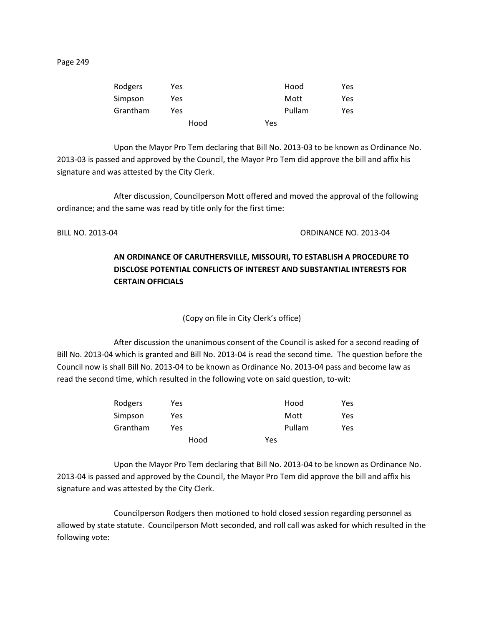| Rodgers  | Yes. | Hood   | Yes |
|----------|------|--------|-----|
| Simpson  | Yes  | Mott   | Yes |
| Grantham | Yes. | Pullam | Yes |
|          | Hood | Yes    |     |

Upon the Mayor Pro Tem declaring that Bill No. 2013-03 to be known as Ordinance No. 2013-03 is passed and approved by the Council, the Mayor Pro Tem did approve the bill and affix his signature and was attested by the City Clerk.

After discussion, Councilperson Mott offered and moved the approval of the following ordinance; and the same was read by title only for the first time:

BILL NO. 2013-04 ORDINANCE NO. 2013-04

# **AN ORDINANCE OF CARUTHERSVILLE, MISSOURI, TO ESTABLISH A PROCEDURE TO DISCLOSE POTENTIAL CONFLICTS OF INTEREST AND SUBSTANTIAL INTERESTS FOR CERTAIN OFFICIALS**

(Copy on file in City Clerk's office)

After discussion the unanimous consent of the Council is asked for a second reading of Bill No. 2013-04 which is granted and Bill No. 2013-04 is read the second time. The question before the Council now is shall Bill No. 2013-04 to be known as Ordinance No. 2013-04 pass and become law as read the second time, which resulted in the following vote on said question, to-wit:

| Rodgers  | Yes  |     | Hood   | Yes |
|----------|------|-----|--------|-----|
| Simpson  | Yes  |     | Mott   | Yes |
| Grantham | Yes  |     | Pullam | Yes |
|          | Hood | Yes |        |     |

Upon the Mayor Pro Tem declaring that Bill No. 2013-04 to be known as Ordinance No. 2013-04 is passed and approved by the Council, the Mayor Pro Tem did approve the bill and affix his signature and was attested by the City Clerk.

Councilperson Rodgers then motioned to hold closed session regarding personnel as allowed by state statute. Councilperson Mott seconded, and roll call was asked for which resulted in the following vote: